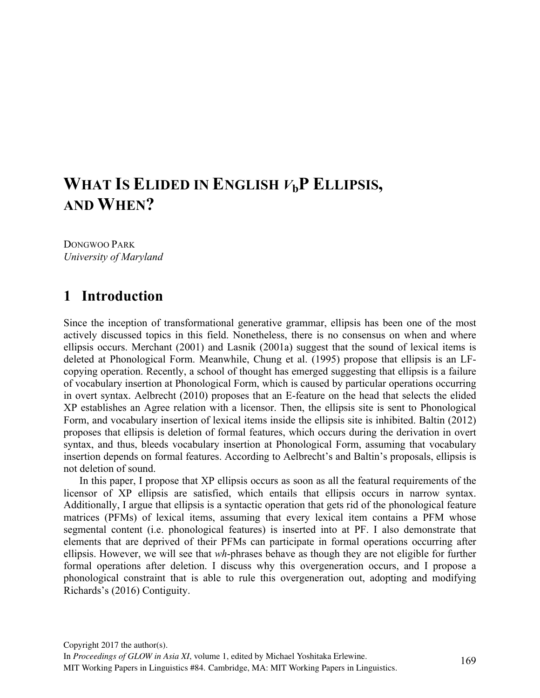# **WHAT IS ELIDED IN ENGLISH** *V***bP ELLIPSIS, AND WHEN?**

DONGWOO PARK *University of Maryland*

## **1** Introduction

Since the inception of transformational generative grammar, ellipsis has been one of the most actively discussed topics in this field. Nonetheless, there is no consensus on when and where ellipsis occurs. Merchant (2001) and Lasnik (2001a) suggest that the sound of lexical items is deleted at Phonological Form. Meanwhile, Chung et al. (1995) propose that ellipsis is an LFcopying operation. Recently, a school of thought has emerged suggesting that ellipsis is a failure of vocabulary insertion at Phonological Form, which is caused by particular operations occurring in overt syntax. Aelbrecht (2010) proposes that an E-feature on the head that selects the elided XP establishes an Agree relation with a licensor. Then, the ellipsis site is sent to Phonological Form, and vocabulary insertion of lexical items inside the ellipsis site is inhibited. Baltin (2012) proposes that ellipsis is deletion of formal features, which occurs during the derivation in overt syntax, and thus, bleeds vocabulary insertion at Phonological Form, assuming that vocabulary insertion depends on formal features. According to Aelbrecht's and Baltin's proposals, ellipsis is not deletion of sound.

In this paper, I propose that XP ellipsis occurs as soon as all the featural requirements of the licensor of XP ellipsis are satisfied, which entails that ellipsis occurs in narrow syntax. Additionally, I argue that ellipsis is a syntactic operation that gets rid of the phonological feature matrices (PFMs) of lexical items, assuming that every lexical item contains a PFM whose segmental content (i.e. phonological features) is inserted into at PF. I also demonstrate that elements that are deprived of their PFMs can participate in formal operations occurring after ellipsis. However, we will see that *wh*-phrases behave as though they are not eligible for further formal operations after deletion. I discuss why this overgeneration occurs, and I propose a phonological constraint that is able to rule this overgeneration out, adopting and modifying Richards's (2016) Contiguity.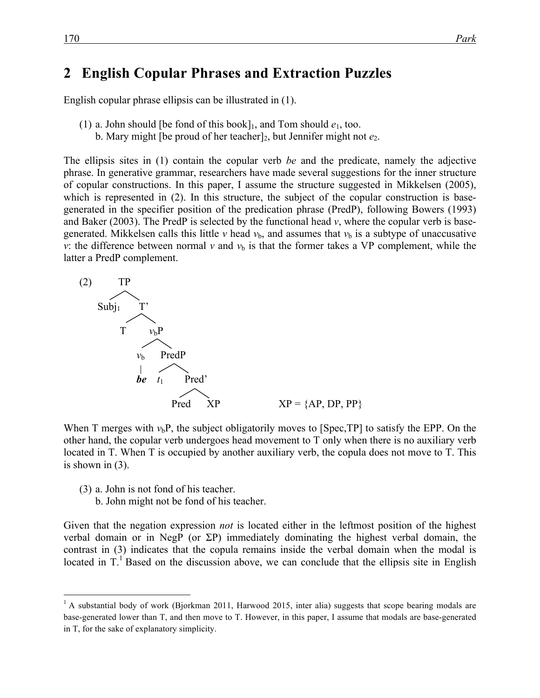## 2 English Copular Phrases and Extraction Puzzles

English copular phrase ellipsis can be illustrated in (1).

- (1) a. John should [be fond of this book]<sub>1</sub>, and Tom should  $e_1$ , too.
	- b. Mary might [be proud of her teacher]<sub>2</sub>, but Jennifer might not  $e_2$ .

The ellipsis sites in (1) contain the copular verb *be* and the predicate, namely the adjective phrase. In generative grammar, researchers have made several suggestions for the inner structure of copular constructions. In this paper, I assume the structure suggested in Mikkelsen (2005), which is represented in (2). In this structure, the subject of the copular construction is basegenerated in the specifier position of the predication phrase (PredP), following Bowers (1993) and Baker (2003). The PredP is selected by the functional head  $v$ , where the copular verb is basegenerated. Mikkelsen calls this little *v* head  $v<sub>b</sub>$ , and assumes that  $v<sub>b</sub>$  is a subtype of unaccusative *v*: the difference between normal *v* and  $v<sub>b</sub>$  is that the former takes a VP complement, while the latter a PredP complement.



When T merges with  $v<sub>b</sub>P$ , the subject obligatorily moves to [Spec,TP] to satisfy the EPP. On the other hand, the copular verb undergoes head movement to T only when there is no auxiliary verb located in T. When T is occupied by another auxiliary verb, the copula does not move to T. This is shown in (3).

- (3) a. John is not fond of his teacher.
	- b. John might not be fond of his teacher.

Given that the negation expression *not* is located either in the leftmost position of the highest verbal domain or in NegP (or ΣP) immediately dominating the highest verbal domain, the contrast in (3) indicates that the copula remains inside the verbal domain when the modal is located in  $T<sup>1</sup>$  Based on the discussion above, we can conclude that the ellipsis site in English

 $<sup>1</sup>$  A substantial body of work (Bjorkman 2011, Harwood 2015, inter alia) suggests that scope bearing modals are</sup> base-generated lower than T, and then move to T. However, in this paper, I assume that modals are base-generated in T, for the sake of explanatory simplicity.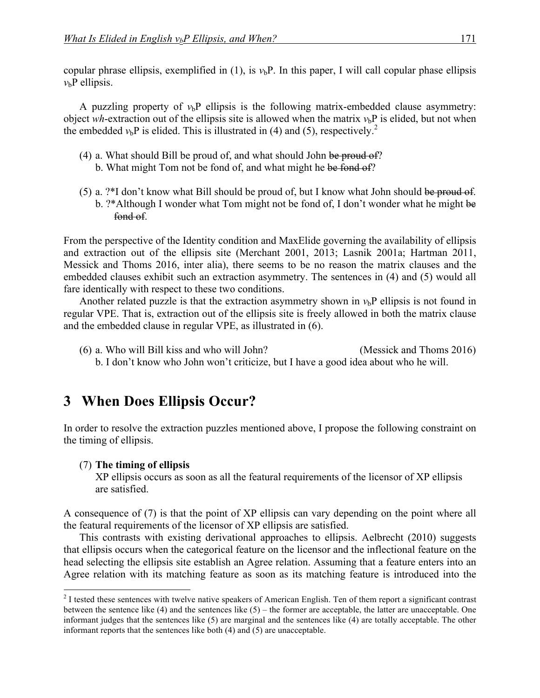copular phrase ellipsis, exemplified in (1), is  $v<sub>b</sub>P$ . In this paper, I will call copular phase ellipsis  $v_b$ P ellipsis.

A puzzling property of  $v<sub>b</sub>P$  ellipsis is the following matrix-embedded clause asymmetry: object *wh*-extraction out of the ellipsis site is allowed when the matrix  $v<sub>b</sub>P$  is elided, but not when the embedded  $v_b$ P is elided. This is illustrated in (4) and (5), respectively.<sup>2</sup>

- (4) a. What should Bill be proud of, and what should John be proud of?
	- b. What might Tom not be fond of, and what might he be fond of?
- (5) a.  $?*I$  don't know what Bill should be proud of, but I know what John should be proud of. b. ?\*Although I wonder what Tom might not be fond of, I don't wonder what he might be fond of.

From the perspective of the Identity condition and MaxElide governing the availability of ellipsis and extraction out of the ellipsis site (Merchant 2001, 2013; Lasnik 2001a; Hartman 2011, Messick and Thoms 2016, inter alia), there seems to be no reason the matrix clauses and the embedded clauses exhibit such an extraction asymmetry. The sentences in (4) and (5) would all fare identically with respect to these two conditions.

Another related puzzle is that the extraction asymmetry shown in  $v<sub>b</sub>P$  ellipsis is not found in regular VPE. That is, extraction out of the ellipsis site is freely allowed in both the matrix clause and the embedded clause in regular VPE, as illustrated in (6).

(6) a. Who will Bill kiss and who will John? (Messick and Thoms 2016) b. I don't know who John won't criticize, but I have a good idea about who he will.

## **3** When Does Ellipsis Occur?

In order to resolve the extraction puzzles mentioned above, I propose the following constraint on the timing of ellipsis.

#### (7) **The timing of ellipsis**

XP ellipsis occurs as soon as all the featural requirements of the licensor of XP ellipsis are satisfied.

A consequence of (7) is that the point of XP ellipsis can vary depending on the point where all the featural requirements of the licensor of XP ellipsis are satisfied.

This contrasts with existing derivational approaches to ellipsis. Aelbrecht (2010) suggests that ellipsis occurs when the categorical feature on the licensor and the inflectional feature on the head selecting the ellipsis site establish an Agree relation. Assuming that a feature enters into an Agree relation with its matching feature as soon as its matching feature is introduced into the

<sup>&</sup>lt;sup>2</sup> I tested these sentences with twelve native speakers of American English. Ten of them report a significant contrast between the sentence like  $(4)$  and the sentences like  $(5)$  – the former are acceptable, the latter are unacceptable. One informant judges that the sentences like (5) are marginal and the sentences like (4) are totally acceptable. The other informant reports that the sentences like both (4) and (5) are unacceptable.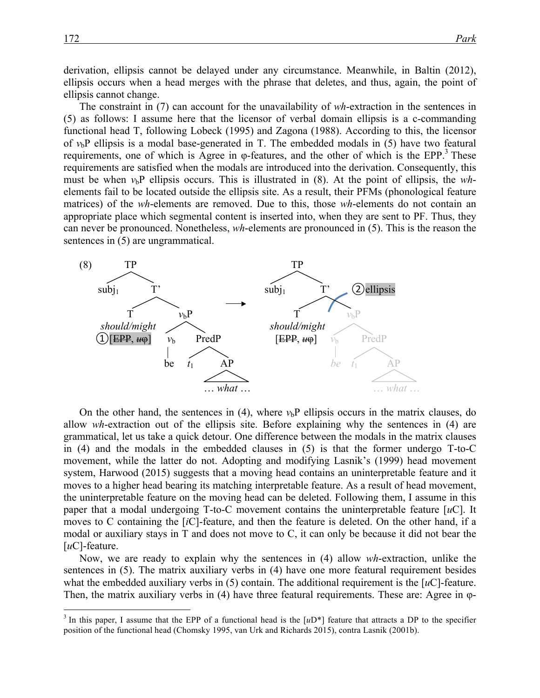derivation, ellipsis cannot be delayed under any circumstance. Meanwhile, in Baltin (2012), ellipsis occurs when a head merges with the phrase that deletes, and thus, again, the point of ellipsis cannot change.

The constraint in (7) can account for the unavailability of *wh*-extraction in the sentences in (5) as follows: I assume here that the licensor of verbal domain ellipsis is a c-commanding functional head T, following Lobeck (1995) and Zagona (1988). According to this, the licensor of  $v<sub>b</sub>P$  ellipsis is a modal base-generated in T. The embedded modals in (5) have two featural requirements, one of which is Agree in  $\varphi$ -features, and the other of which is the EPP.<sup>3</sup> These requirements are satisfied when the modals are introduced into the derivation. Consequently, this must be when  $v<sub>b</sub>P$  ellipsis occurs. This is illustrated in (8). At the point of ellipsis, the *wh*elements fail to be located outside the ellipsis site. As a result, their PFMs (phonological feature matrices) of the *wh*-elements are removed. Due to this, those *wh*-elements do not contain an appropriate place which segmental content is inserted into, when they are sent to PF. Thus, they can never be pronounced. Nonetheless, *wh*-elements are pronounced in (5). This is the reason the sentences in (5) are ungrammatical.



On the other hand, the sentences in (4), where  $v<sub>b</sub>P$  ellipsis occurs in the matrix clauses, do allow *wh*-extraction out of the ellipsis site. Before explaining why the sentences in (4) are grammatical, let us take a quick detour. One difference between the modals in the matrix clauses in (4) and the modals in the embedded clauses in (5) is that the former undergo T-to-C movement, while the latter do not. Adopting and modifying Lasnik's (1999) head movement system, Harwood (2015) suggests that a moving head contains an uninterpretable feature and it moves to a higher head bearing its matching interpretable feature. As a result of head movement, the uninterpretable feature on the moving head can be deleted. Following them, I assume in this paper that a modal undergoing T-to-C movement contains the uninterpretable feature [*u*C]. It moves to C containing the [*i*C]-feature, and then the feature is deleted. On the other hand, if a modal or auxiliary stays in T and does not move to C, it can only be because it did not bear the [*u*C]-feature.

Now, we are ready to explain why the sentences in (4) allow *wh*-extraction, unlike the sentences in (5). The matrix auxiliary verbs in (4) have one more featural requirement besides what the embedded auxiliary verbs in  $(5)$  contain. The additional requirement is the  $[*u*C]$ -feature. Then, the matrix auxiliary verbs in (4) have three featural requirements. These are: Agree in φ-

 $3$  In this paper, I assume that the EPP of a functional head is the  $[uD^*]$  feature that attracts a DP to the specifier position of the functional head (Chomsky 1995, van Urk and Richards 2015), contra Lasnik (2001b).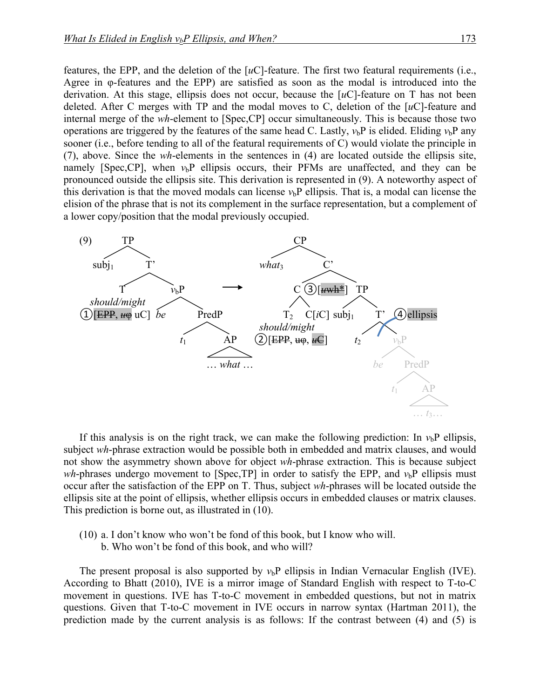features, the EPP, and the deletion of the [*u*C]-feature. The first two featural requirements (i.e., Agree in φ-features and the EPP) are satisfied as soon as the modal is introduced into the derivation. At this stage, ellipsis does not occur, because the [*u*C]-feature on T has not been deleted. After C merges with TP and the modal moves to C, deletion of the [*u*C]-feature and internal merge of the *wh*-element to [Spec,CP] occur simultaneously. This is because those two operations are triggered by the features of the same head C. Lastly,  $v_b$ P is elided. Eliding  $v_b$ P any sooner (i.e., before tending to all of the featural requirements of C) would violate the principle in (7), above. Since the *wh*-elements in the sentences in (4) are located outside the ellipsis site, namely [Spec,CP], when  $v<sub>b</sub>P$  ellipsis occurs, their PFMs are unaffected, and they can be pronounced outside the ellipsis site. This derivation is represented in (9). A noteworthy aspect of this derivation is that the moved modals can license  $v<sub>b</sub>P$  ellipsis. That is, a modal can license the elision of the phrase that is not its complement in the surface representation, but a complement of a lower copy/position that the modal previously occupied.



If this analysis is on the right track, we can make the following prediction: In  $v_b$ P ellipsis, subject *wh*-phrase extraction would be possible both in embedded and matrix clauses, and would not show the asymmetry shown above for object *wh*-phrase extraction. This is because subject *wh*-phrases undergo movement to [Spec,TP] in order to satisfy the EPP, and  $v<sub>b</sub>P$  ellipsis must occur after the satisfaction of the EPP on T. Thus, subject *wh*-phrases will be located outside the ellipsis site at the point of ellipsis, whether ellipsis occurs in embedded clauses or matrix clauses. This prediction is borne out, as illustrated in (10).

(10) a. I don't know who won't be fond of this book, but I know who will. b. Who won't be fond of this book, and who will?

The present proposal is also supported by  $v<sub>b</sub>P$  ellipsis in Indian Vernacular English (IVE). According to Bhatt (2010), IVE is a mirror image of Standard English with respect to T-to-C movement in questions. IVE has T-to-C movement in embedded questions, but not in matrix questions. Given that T-to-C movement in IVE occurs in narrow syntax (Hartman 2011), the prediction made by the current analysis is as follows: If the contrast between (4) and (5) is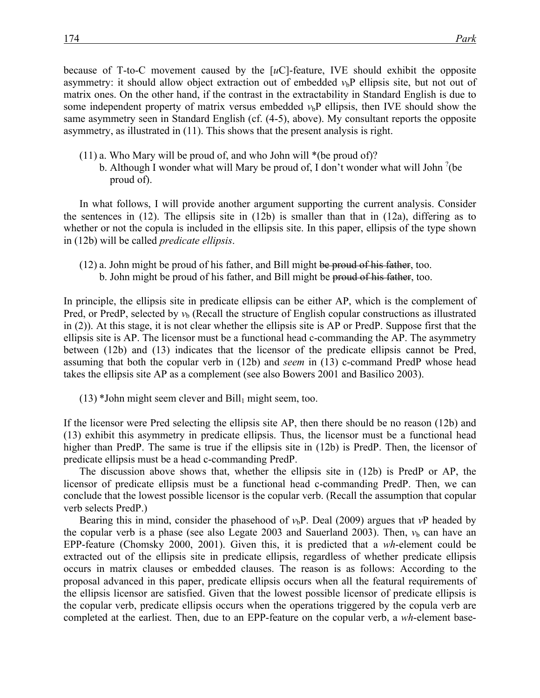because of T-to-C movement caused by the [*u*C]-feature, IVE should exhibit the opposite asymmetry: it should allow object extraction out of embedded  $v<sub>b</sub>P$  ellipsis site, but not out of matrix ones. On the other hand, if the contrast in the extractability in Standard English is due to some independent property of matrix versus embedded  $v<sub>b</sub>P$  ellipsis, then IVE should show the same asymmetry seen in Standard English (cf. (4-5), above). My consultant reports the opposite asymmetry, as illustrated in (11). This shows that the present analysis is right.

- (11) a. Who Mary will be proud of, and who John will \*(be proud of)?
	- b. Although I wonder what will Mary be proud of, I don't wonder what will John  $^2$  (be proud of).

In what follows, I will provide another argument supporting the current analysis. Consider the sentences in (12). The ellipsis site in (12b) is smaller than that in (12a), differing as to whether or not the copula is included in the ellipsis site. In this paper, ellipsis of the type shown in (12b) will be called *predicate ellipsis*.

(12) a. John might be proud of his father, and Bill might be proud of his father, too. b. John might be proud of his father, and Bill might be proud of his father, too.

In principle, the ellipsis site in predicate ellipsis can be either AP, which is the complement of Pred, or PredP, selected by  $v<sub>b</sub>$  (Recall the structure of English copular constructions as illustrated in (2)). At this stage, it is not clear whether the ellipsis site is AP or PredP. Suppose first that the ellipsis site is AP. The licensor must be a functional head c-commanding the AP. The asymmetry between (12b) and (13) indicates that the licensor of the predicate ellipsis cannot be Pred, assuming that both the copular verb in (12b) and *seem* in (13) c-command PredP whose head takes the ellipsis site AP as a complement (see also Bowers 2001 and Basilico 2003).

 $(13)$  \*John might seem clever and Bill<sub>1</sub> might seem, too.

If the licensor were Pred selecting the ellipsis site AP, then there should be no reason (12b) and (13) exhibit this asymmetry in predicate ellipsis. Thus, the licensor must be a functional head higher than PredP. The same is true if the ellipsis site in (12b) is PredP. Then, the licensor of predicate ellipsis must be a head c-commanding PredP.

The discussion above shows that, whether the ellipsis site in (12b) is PredP or AP, the licensor of predicate ellipsis must be a functional head c-commanding PredP. Then, we can conclude that the lowest possible licensor is the copular verb. (Recall the assumption that copular verb selects PredP.)

Bearing this in mind, consider the phasehood of  $v<sub>b</sub>P$ . Deal (2009) argues that  $vP$  headed by the copular verb is a phase (see also Legate 2003 and Sauerland 2003). Then,  $v<sub>b</sub>$  can have an EPP-feature (Chomsky 2000, 2001). Given this, it is predicted that a *wh*-element could be extracted out of the ellipsis site in predicate ellipsis, regardless of whether predicate ellipsis occurs in matrix clauses or embedded clauses. The reason is as follows: According to the proposal advanced in this paper, predicate ellipsis occurs when all the featural requirements of the ellipsis licensor are satisfied. Given that the lowest possible licensor of predicate ellipsis is the copular verb, predicate ellipsis occurs when the operations triggered by the copula verb are completed at the earliest. Then, due to an EPP-feature on the copular verb, a *wh*-element base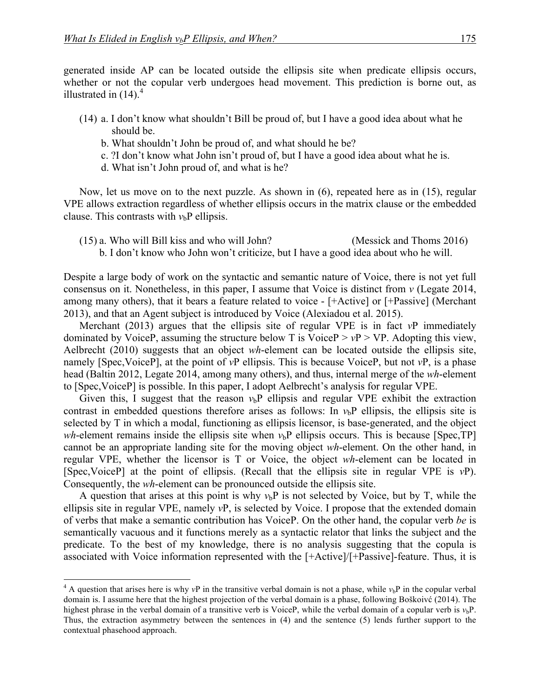generated inside AP can be located outside the ellipsis site when predicate ellipsis occurs, whether or not the copular verb undergoes head movement. This prediction is borne out, as illustrated in  $(14)$ .<sup>4</sup>

- (14) a. I don't know what shouldn't Bill be proud of, but I have a good idea about what he should be.
	- b. What shouldn't John be proud of, and what should he be?
	- c. ?I don't know what John isn't proud of, but I have a good idea about what he is.
	- d. What isn't John proud of, and what is he?

Now, let us move on to the next puzzle. As shown in (6), repeated here as in (15), regular VPE allows extraction regardless of whether ellipsis occurs in the matrix clause or the embedded clause. This contrasts with  $v<sub>b</sub>P$  ellipsis.

(15) a. Who will Bill kiss and who will John? (Messick and Thoms 2016) b. I don't know who John won't criticize, but I have a good idea about who he will.

Despite a large body of work on the syntactic and semantic nature of Voice, there is not yet full consensus on it. Nonetheless, in this paper, I assume that Voice is distinct from *v* (Legate 2014, among many others), that it bears a feature related to voice - [+Active] or [+Passive] (Merchant 2013), and that an Agent subject is introduced by Voice (Alexiadou et al. 2015).

Merchant (2013) argues that the ellipsis site of regular VPE is in fact *v*P immediately dominated by VoiceP, assuming the structure below T is VoiceP  $> vP > VP$ . Adopting this view, Aelbrecht (2010) suggests that an object *wh*-element can be located outside the ellipsis site, namely [Spec,VoiceP], at the point of *v*P ellipsis. This is because VoiceP, but not *v*P, is a phase head (Baltin 2012, Legate 2014, among many others), and thus, internal merge of the *wh*-element to [Spec,VoiceP] is possible. In this paper, I adopt Aelbrecht's analysis for regular VPE.

Given this, I suggest that the reason  $v<sub>b</sub>P$  ellipsis and regular VPE exhibit the extraction contrast in embedded questions therefore arises as follows: In  $v<sub>b</sub>P$  ellipsis, the ellipsis site is selected by T in which a modal, functioning as ellipsis licensor, is base-generated, and the object *wh*-element remains inside the ellipsis site when  $v<sub>b</sub>P$  ellipsis occurs. This is because [Spec,TP] cannot be an appropriate landing site for the moving object *wh*-element. On the other hand, in regular VPE, whether the licensor is T or Voice, the object *wh*-element can be located in [Spec,VoiceP] at the point of ellipsis. (Recall that the ellipsis site in regular VPE is *v*P). Consequently, the *wh*-element can be pronounced outside the ellipsis site.

A question that arises at this point is why  $v_b$ P is not selected by Voice, but by T, while the ellipsis site in regular VPE, namely *v*P, is selected by Voice. I propose that the extended domain of verbs that make a semantic contribution has VoiceP. On the other hand, the copular verb *be* is semantically vacuous and it functions merely as a syntactic relator that links the subject and the predicate. To the best of my knowledge, there is no analysis suggesting that the copula is associated with Voice information represented with the [+Active]/[+Passive]-feature. Thus, it is

<sup>&</sup>lt;sup>4</sup> A question that arises here is why  $vP$  in the transitive verbal domain is not a phase, while  $v<sub>b</sub>P$  in the copular verbal domain is. I assume here that the highest projection of the verbal domain is a phase, following Boškoivć (2014). The highest phrase in the verbal domain of a transitive verb is VoiceP, while the verbal domain of a copular verb is  $v<sub>b</sub>P$ . Thus, the extraction asymmetry between the sentences in (4) and the sentence (5) lends further support to the contextual phasehood approach.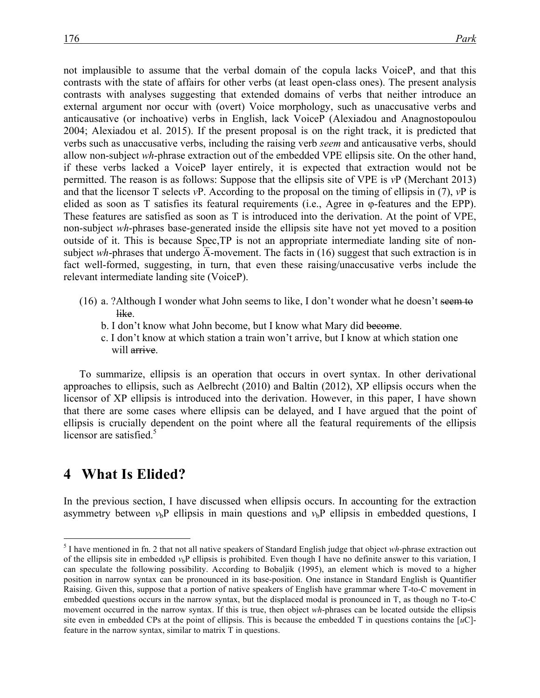not implausible to assume that the verbal domain of the copula lacks VoiceP, and that this contrasts with the state of affairs for other verbs (at least open-class ones). The present analysis contrasts with analyses suggesting that extended domains of verbs that neither introduce an external argument nor occur with (overt) Voice morphology, such as unaccusative verbs and anticausative (or inchoative) verbs in English, lack VoiceP (Alexiadou and Anagnostopoulou 2004; Alexiadou et al. 2015). If the present proposal is on the right track, it is predicted that verbs such as unaccusative verbs, including the raising verb *seem* and anticausative verbs, should allow non-subject *wh*-phrase extraction out of the embedded VPE ellipsis site. On the other hand, if these verbs lacked a VoiceP layer entirely, it is expected that extraction would not be permitted. The reason is as follows: Suppose that the ellipsis site of VPE is *v*P (Merchant 2013) and that the licensor T selects *v*P. According to the proposal on the timing of ellipsis in (7), *v*P is elided as soon as T satisfies its featural requirements (i.e., Agree in φ-features and the EPP). These features are satisfied as soon as T is introduced into the derivation. At the point of VPE, non-subject *wh*-phrases base-generated inside the ellipsis site have not yet moved to a position outside of it. This is because Spec,TP is not an appropriate intermediate landing site of nonsubject *wh*-phrases that undergo  $\overline{A}$ -movement. The facts in (16) suggest that such extraction is in fact well-formed, suggesting, in turn, that even these raising/unaccusative verbs include the relevant intermediate landing site (VoiceP).

- (16) a. ?Although I wonder what John seems to like, I don't wonder what he doesn't seem to like.
	- b. I don't know what John become, but I know what Mary did become.
	- c. I don't know at which station a train won't arrive, but I know at which station one will arrive.

To summarize, ellipsis is an operation that occurs in overt syntax. In other derivational approaches to ellipsis, such as Aelbrecht (2010) and Baltin (2012), XP ellipsis occurs when the licensor of XP ellipsis is introduced into the derivation. However, in this paper, I have shown that there are some cases where ellipsis can be delayed, and I have argued that the point of ellipsis is crucially dependent on the point where all the featural requirements of the ellipsis licensor are satisfied.<sup>5</sup>

### 4 What Is Elided?

In the previous section, I have discussed when ellipsis occurs. In accounting for the extraction asymmetry between  $v_b$ P ellipsis in main questions and  $v_b$ P ellipsis in embedded questions, I

 <sup>5</sup> I have mentioned in fn. 2 that not all native speakers of Standard English judge that object *wh*-phrase extraction out of the ellipsis site in embedded  $v<sub>b</sub>P$  ellipsis is prohibited. Even though I have no definite answer to this variation, I can speculate the following possibility. According to Bobaljik (1995), an element which is moved to a higher position in narrow syntax can be pronounced in its base-position. One instance in Standard English is Quantifier Raising. Given this, suppose that a portion of native speakers of English have grammar where T-to-C movement in embedded questions occurs in the narrow syntax, but the displaced modal is pronounced in T, as though no T-to-C movement occurred in the narrow syntax. If this is true, then object *wh*-phrases can be located outside the ellipsis site even in embedded CPs at the point of ellipsis. This is because the embedded T in questions contains the  $[uC]$ feature in the narrow syntax, similar to matrix T in questions.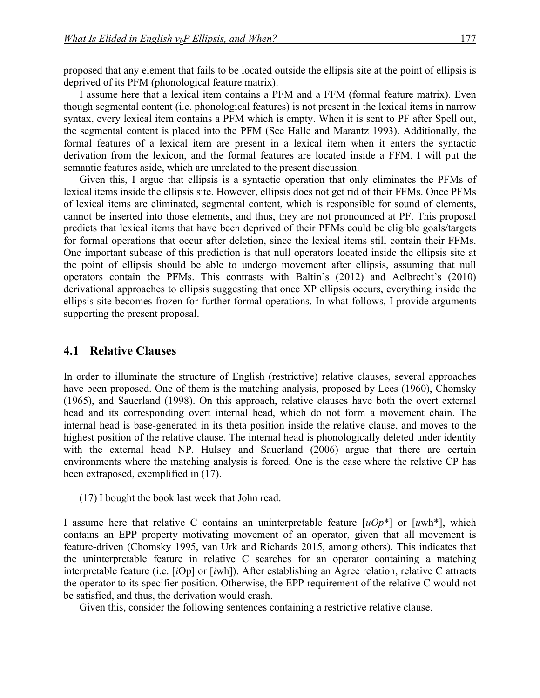proposed that any element that fails to be located outside the ellipsis site at the point of ellipsis is deprived of its PFM (phonological feature matrix).

I assume here that a lexical item contains a PFM and a FFM (formal feature matrix). Even though segmental content (i.e. phonological features) is not present in the lexical items in narrow syntax, every lexical item contains a PFM which is empty. When it is sent to PF after Spell out, the segmental content is placed into the PFM (See Halle and Marantz 1993). Additionally, the formal features of a lexical item are present in a lexical item when it enters the syntactic derivation from the lexicon, and the formal features are located inside a FFM. I will put the semantic features aside, which are unrelated to the present discussion.

Given this, I argue that ellipsis is a syntactic operation that only eliminates the PFMs of lexical items inside the ellipsis site. However, ellipsis does not get rid of their FFMs. Once PFMs of lexical items are eliminated, segmental content, which is responsible for sound of elements, cannot be inserted into those elements, and thus, they are not pronounced at PF. This proposal predicts that lexical items that have been deprived of their PFMs could be eligible goals/targets for formal operations that occur after deletion, since the lexical items still contain their FFMs. One important subcase of this prediction is that null operators located inside the ellipsis site at the point of ellipsis should be able to undergo movement after ellipsis, assuming that null operators contain the PFMs. This contrasts with Baltin's (2012) and Aelbrecht's (2010) derivational approaches to ellipsis suggesting that once XP ellipsis occurs, everything inside the ellipsis site becomes frozen for further formal operations. In what follows, I provide arguments supporting the present proposal.

#### **4.1 Relative Clauses**

In order to illuminate the structure of English (restrictive) relative clauses, several approaches have been proposed. One of them is the matching analysis, proposed by Lees (1960), Chomsky (1965), and Sauerland (1998). On this approach, relative clauses have both the overt external head and its corresponding overt internal head, which do not form a movement chain. The internal head is base-generated in its theta position inside the relative clause, and moves to the highest position of the relative clause. The internal head is phonologically deleted under identity with the external head NP. Hulsey and Sauerland (2006) argue that there are certain environments where the matching analysis is forced. One is the case where the relative CP has been extraposed, exemplified in (17).

(17) I bought the book last week that John read.

I assume here that relative C contains an uninterpretable feature [*uOp*\*] or [*u*wh\*], which contains an EPP property motivating movement of an operator, given that all movement is feature-driven (Chomsky 1995, van Urk and Richards 2015, among others). This indicates that the uninterpretable feature in relative C searches for an operator containing a matching interpretable feature (i.e. [*i*Op] or [*i*wh]). After establishing an Agree relation, relative C attracts the operator to its specifier position. Otherwise, the EPP requirement of the relative C would not be satisfied, and thus, the derivation would crash.

Given this, consider the following sentences containing a restrictive relative clause.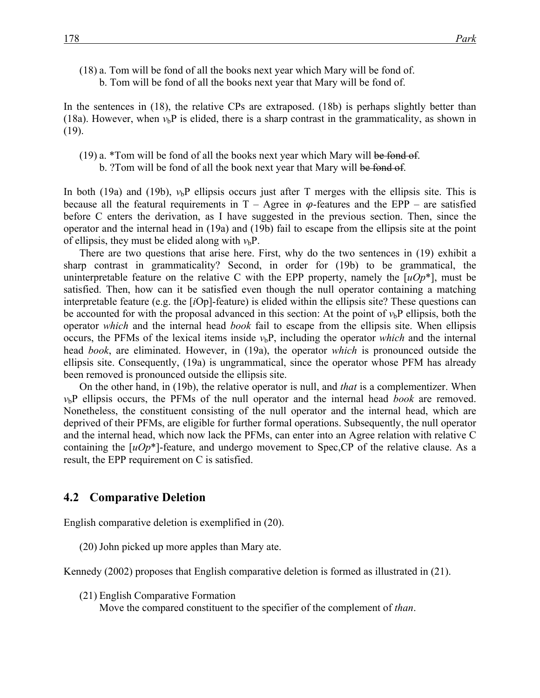(18) a. Tom will be fond of all the books next year which Mary will be fond of. b. Tom will be fond of all the books next year that Mary will be fond of.

In the sentences in (18), the relative CPs are extraposed. (18b) is perhaps slightly better than (18a). However, when  $v_b$ P is elided, there is a sharp contrast in the grammaticality, as shown in (19).

- (19) a.  $*$ Tom will be fond of all the books next year which Mary will be fond of.
	- b. ?Tom will be fond of all the book next year that Mary will be fond of.

In both (19a) and (19b),  $v_b$ P ellipsis occurs just after T merges with the ellipsis site. This is because all the featural requirements in  $T -$  Agree in  $\varphi$ -features and the EPP – are satisfied before C enters the derivation, as I have suggested in the previous section. Then, since the operator and the internal head in (19a) and (19b) fail to escape from the ellipsis site at the point of ellipsis, they must be elided along with  $v<sub>b</sub>P$ .

There are two questions that arise here. First, why do the two sentences in (19) exhibit a sharp contrast in grammaticality? Second, in order for (19b) to be grammatical, the uninterpretable feature on the relative C with the EPP property, namely the [*uOp*\*], must be satisfied. Then, how can it be satisfied even though the null operator containing a matching interpretable feature (e.g. the [*i*Op]-feature) is elided within the ellipsis site? These questions can be accounted for with the proposal advanced in this section: At the point of  $v<sub>b</sub>P$  ellipsis, both the operator *which* and the internal head *book* fail to escape from the ellipsis site. When ellipsis occurs, the PFMs of the lexical items inside  $v<sub>b</sub>P$ , including the operator *which* and the internal head *book*, are eliminated. However, in (19a), the operator *which* is pronounced outside the ellipsis site. Consequently, (19a) is ungrammatical, since the operator whose PFM has already been removed is pronounced outside the ellipsis site.

On the other hand, in (19b), the relative operator is null, and *that* is a complementizer. When *v*bP ellipsis occurs, the PFMs of the null operator and the internal head *book* are removed. Nonetheless, the constituent consisting of the null operator and the internal head, which are deprived of their PFMs, are eligible for further formal operations. Subsequently, the null operator and the internal head, which now lack the PFMs, can enter into an Agree relation with relative C containing the [*uOp*\*]-feature, and undergo movement to Spec,CP of the relative clause. As a result, the EPP requirement on C is satisfied.

#### **4.2 Comparative Deletion**

English comparative deletion is exemplified in (20).

(20) John picked up more apples than Mary ate.

Kennedy (2002) proposes that English comparative deletion is formed as illustrated in (21).

(21) English Comparative Formation

Move the compared constituent to the specifier of the complement of *than*.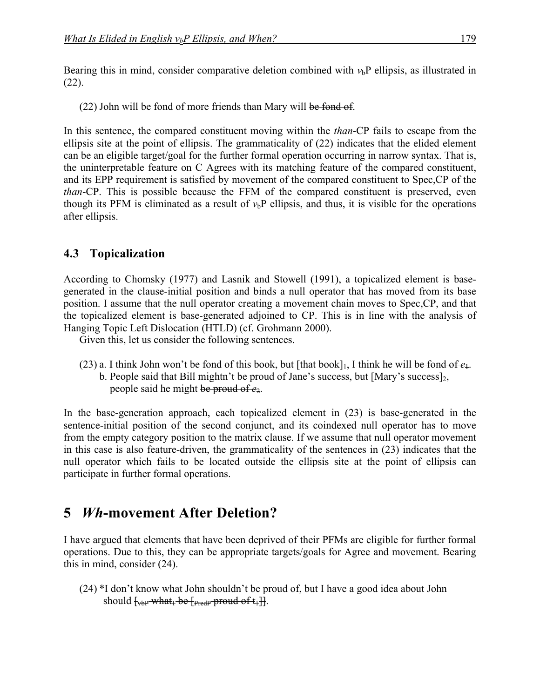Bearing this in mind, consider comparative deletion combined with  $v<sub>b</sub>P$  ellipsis, as illustrated in (22).

(22) John will be fond of more friends than Mary will be fond of.

In this sentence, the compared constituent moving within the *than*-CP fails to escape from the ellipsis site at the point of ellipsis. The grammaticality of (22) indicates that the elided element can be an eligible target/goal for the further formal operation occurring in narrow syntax. That is, the uninterpretable feature on C Agrees with its matching feature of the compared constituent, and its EPP requirement is satisfied by movement of the compared constituent to Spec,CP of the *than*-CP. This is possible because the FFM of the compared constituent is preserved, even though its PFM is eliminated as a result of  $v<sub>b</sub>P$  ellipsis, and thus, it is visible for the operations after ellipsis.

### **4.3**xx**Topicalization**

According to Chomsky (1977) and Lasnik and Stowell (1991), a topicalized element is basegenerated in the clause-initial position and binds a null operator that has moved from its base position. I assume that the null operator creating a movement chain moves to Spec,CP, and that the topicalized element is base-generated adjoined to CP. This is in line with the analysis of Hanging Topic Left Dislocation (HTLD) (cf. Grohmann 2000).

Given this, let us consider the following sentences.

- (23) a. I think John won't be fond of this book, but [that book]. I think he will be fond of  $e_1$ .
	- b. People said that Bill mightn't be proud of Jane's success, but [Mary's success], people said he might be proud of *e*2.

In the base-generation approach, each topicalized element in (23) is base-generated in the sentence-initial position of the second conjunct, and its coindexed null operator has to move from the empty category position to the matrix clause. If we assume that null operator movement in this case is also feature-driven, the grammaticality of the sentences in (23) indicates that the null operator which fails to be located outside the ellipsis site at the point of ellipsis can participate in further formal operations.

## **5**xx*Wh***-movement After Deletion?**

I have argued that elements that have been deprived of their PFMs are eligible for further formal operations. Due to this, they can be appropriate targets/goals for Agree and movement. Bearing this in mind, consider (24).

(24) \*I don't know what John shouldn't be proud of, but I have a good idea about John should  $\frac{1}{2}$  what  $\frac{1}{2}$  be  $\frac{1}{2}$  proud of  $t_1$ .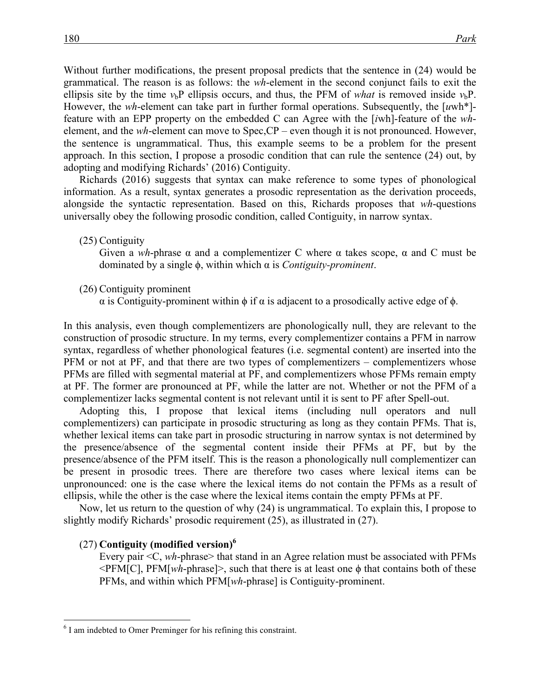Without further modifications, the present proposal predicts that the sentence in (24) would be grammatical. The reason is as follows: the *wh*-element in the second conjunct fails to exit the ellipsis site by the time  $v_b$ P ellipsis occurs, and thus, the PFM of *what* is removed inside  $v_b$ P. However, the *wh*-element can take part in further formal operations. Subsequently, the [*u*wh\*] feature with an EPP property on the embedded C can Agree with the [*i*wh]-feature of the *wh*element, and the *wh*-element can move to Spec,CP – even though it is not pronounced. However, the sentence is ungrammatical. Thus, this example seems to be a problem for the present approach. In this section, I propose a prosodic condition that can rule the sentence (24) out, by adopting and modifying Richards' (2016) Contiguity.

Richards (2016) suggests that syntax can make reference to some types of phonological information. As a result, syntax generates a prosodic representation as the derivation proceeds, alongside the syntactic representation. Based on this, Richards proposes that *wh*-questions universally obey the following prosodic condition, called Contiguity, in narrow syntax.

(25) Contiguity

Given a *wh*-phrase  $\alpha$  and a complementizer C where  $\alpha$  takes scope,  $\alpha$  and C must be dominated by a single ϕ, within which α is *Contiguity-prominent*.

(26) Contiguity prominent

 $\alpha$  is Contiguity-prominent within  $\phi$  if  $\alpha$  is adjacent to a prosodically active edge of  $\phi$ .

In this analysis, even though complementizers are phonologically null, they are relevant to the construction of prosodic structure. In my terms, every complementizer contains a PFM in narrow syntax, regardless of whether phonological features (i.e. segmental content) are inserted into the PFM or not at PF, and that there are two types of complementizers – complementizers whose PFMs are filled with segmental material at PF, and complementizers whose PFMs remain empty at PF. The former are pronounced at PF, while the latter are not. Whether or not the PFM of a complementizer lacks segmental content is not relevant until it is sent to PF after Spell-out.

Adopting this, I propose that lexical items (including null operators and null complementizers) can participate in prosodic structuring as long as they contain PFMs. That is, whether lexical items can take part in prosodic structuring in narrow syntax is not determined by the presence/absence of the segmental content inside their PFMs at PF, but by the presence/absence of the PFM itself. This is the reason a phonologically null complementizer can be present in prosodic trees. There are therefore two cases where lexical items can be unpronounced: one is the case where the lexical items do not contain the PFMs as a result of ellipsis, while the other is the case where the lexical items contain the empty PFMs at PF.

Now, let us return to the question of why (24) is ungrammatical. To explain this, I propose to slightly modify Richards' prosodic requirement (25), as illustrated in (27).

#### (27) **Contiguity (modified version)6**

Every pair <C, *wh*-phrase> that stand in an Agree relation must be associated with PFMs  $\leq$ PFM[C], PFM[*wh*-phrase] $>$ , such that there is at least one  $\phi$  that contains both of these PFMs, and within which PFM[*wh*-phrase] is Contiguity-prominent.

 $6$  I am indebted to Omer Preminger for his refining this constraint.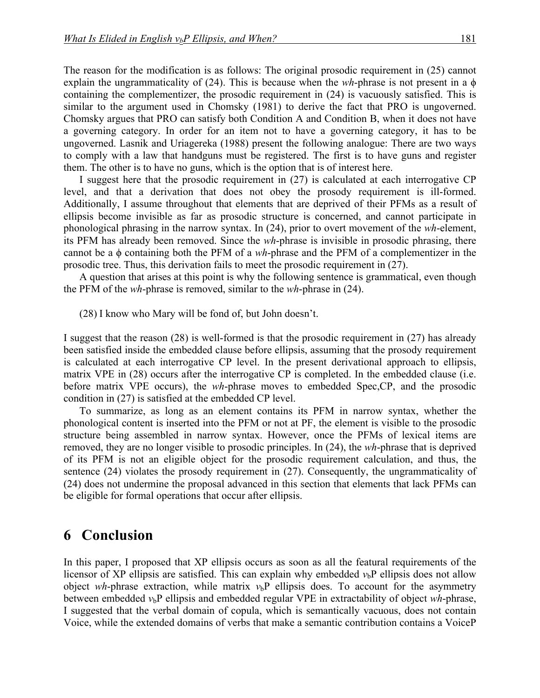The reason for the modification is as follows: The original prosodic requirement in (25) cannot explain the ungrammaticality of (24). This is because when the *wh*-phrase is not present in a ϕ containing the complementizer, the prosodic requirement in (24) is vacuously satisfied. This is similar to the argument used in Chomsky (1981) to derive the fact that PRO is ungoverned. Chomsky argues that PRO can satisfy both Condition A and Condition B, when it does not have a governing category. In order for an item not to have a governing category, it has to be ungoverned. Lasnik and Uriagereka (1988) present the following analogue: There are two ways to comply with a law that handguns must be registered. The first is to have guns and register them. The other is to have no guns, which is the option that is of interest here.

I suggest here that the prosodic requirement in (27) is calculated at each interrogative CP level, and that a derivation that does not obey the prosody requirement is ill-formed. Additionally, I assume throughout that elements that are deprived of their PFMs as a result of ellipsis become invisible as far as prosodic structure is concerned, and cannot participate in phonological phrasing in the narrow syntax. In (24), prior to overt movement of the *wh*-element, its PFM has already been removed. Since the *wh*-phrase is invisible in prosodic phrasing, there cannot be a ϕ containing both the PFM of a *wh*-phrase and the PFM of a complementizer in the prosodic tree. Thus, this derivation fails to meet the prosodic requirement in (27).

A question that arises at this point is why the following sentence is grammatical, even though the PFM of the *wh*-phrase is removed, similar to the *wh*-phrase in (24).

(28) I know who Mary will be fond of, but John doesn't.

I suggest that the reason (28) is well-formed is that the prosodic requirement in (27) has already been satisfied inside the embedded clause before ellipsis, assuming that the prosody requirement is calculated at each interrogative CP level. In the present derivational approach to ellipsis, matrix VPE in (28) occurs after the interrogative CP is completed. In the embedded clause (i.e. before matrix VPE occurs), the *wh*-phrase moves to embedded Spec,CP, and the prosodic condition in (27) is satisfied at the embedded CP level.

To summarize, as long as an element contains its PFM in narrow syntax, whether the phonological content is inserted into the PFM or not at PF, the element is visible to the prosodic structure being assembled in narrow syntax. However, once the PFMs of lexical items are removed, they are no longer visible to prosodic principles. In (24), the *wh*-phrase that is deprived of its PFM is not an eligible object for the prosodic requirement calculation, and thus, the sentence (24) violates the prosody requirement in (27). Consequently, the ungrammaticality of (24) does not undermine the proposal advanced in this section that elements that lack PFMs can be eligible for formal operations that occur after ellipsis.

### **6** Conclusion

In this paper, I proposed that XP ellipsis occurs as soon as all the featural requirements of the licensor of XP ellipsis are satisfied. This can explain why embedded  $v<sub>b</sub>P$  ellipsis does not allow object *wh*-phrase extraction, while matrix  $v<sub>b</sub>P$  ellipsis does. To account for the asymmetry between embedded  $v<sub>b</sub>P$  ellipsis and embedded regular VPE in extractability of object *wh*-phrase, I suggested that the verbal domain of copula, which is semantically vacuous, does not contain Voice, while the extended domains of verbs that make a semantic contribution contains a VoiceP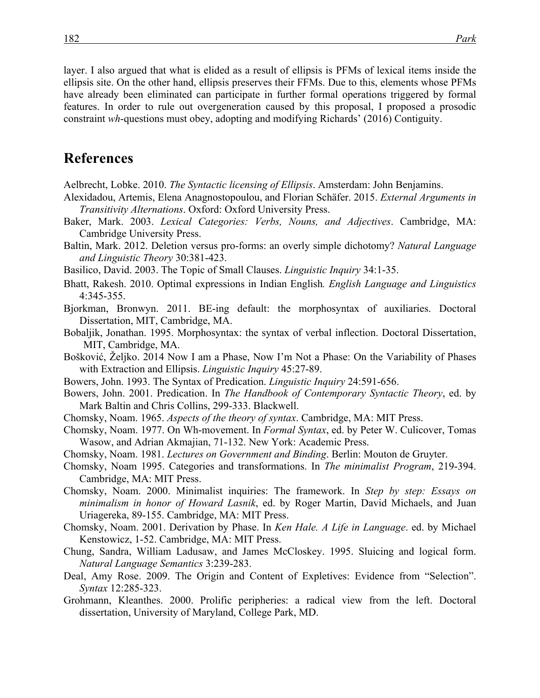layer. I also argued that what is elided as a result of ellipsis is PFMs of lexical items inside the ellipsis site. On the other hand, ellipsis preserves their FFMs. Due to this, elements whose PFMs have already been eliminated can participate in further formal operations triggered by formal features. In order to rule out overgeneration caused by this proposal, I proposed a prosodic constraint *wh*-questions must obey, adopting and modifying Richards' (2016) Contiguity.

## **References**

Aelbrecht, Lobke. 2010. *The Syntactic licensing of Ellipsis*. Amsterdam: John Benjamins.

- Alexidadou, Artemis, Elena Anagnostopoulou, and Florian Schäfer. 2015. *External Arguments in Transitivity Alternations*. Oxford: Oxford University Press.
- Baker, Mark. 2003. *Lexical Categories: Verbs, Nouns, and Adjectives*. Cambridge, MA: Cambridge University Press.
- Baltin, Mark. 2012. Deletion versus pro-forms: an overly simple dichotomy? *Natural Language and Linguistic Theory* 30:381-423.
- Basilico, David. 2003. The Topic of Small Clauses. *Linguistic Inquiry* 34:1-35.
- Bhatt, Rakesh. 2010. Optimal expressions in Indian English*. English Language and Linguistics* 4:345-355.
- Bjorkman, Bronwyn. 2011. BE-ing default: the morphosyntax of auxiliaries. Doctoral Dissertation, MIT, Cambridge, MA.
- Bobaljik, Jonathan. 1995. Morphosyntax: the syntax of verbal inflection. Doctoral Dissertation, MIT, Cambridge, MA.
- Bošković, Željko. 2014 Now I am a Phase, Now I'm Not a Phase: On the Variability of Phases with Extraction and Ellipsis. *Linguistic Inquiry* 45:27-89.
- Bowers, John. 1993. The Syntax of Predication. *Linguistic Inquiry* 24:591-656.
- Bowers, John. 2001. Predication. In *The Handbook of Contemporary Syntactic Theory*, ed. by Mark Baltin and Chris Collins, 299-333. Blackwell.
- Chomsky, Noam. 1965. *Aspects of the theory of syntax*. Cambridge, MA: MIT Press.
- Chomsky, Noam. 1977. On Wh-movement. In *Formal Syntax*, ed. by Peter W. Culicover, Tomas Wasow, and Adrian Akmajian, 71-132. New York: Academic Press.
- Chomsky, Noam. 1981. *Lectures on Government and Binding*. Berlin: Mouton de Gruyter.
- Chomsky, Noam 1995. Categories and transformations. In *The minimalist Program*, 219-394. Cambridge, MA: MIT Press.
- Chomsky, Noam. 2000. Minimalist inquiries: The framework. In *Step by step: Essays on minimalism in honor of Howard Lasnik*, ed. by Roger Martin, David Michaels, and Juan Uriagereka, 89-155. Cambridge, MA: MIT Press.
- Chomsky, Noam. 2001. Derivation by Phase. In *Ken Hale. A Life in Language*. ed. by Michael Kenstowicz, 1-52. Cambridge, MA: MIT Press.
- Chung, Sandra, William Ladusaw, and James McCloskey. 1995. Sluicing and logical form. *Natural Language Semantics* 3:239-283.
- Deal, Amy Rose. 2009. The Origin and Content of Expletives: Evidence from "Selection". *Syntax* 12:285-323.
- Grohmann, Kleanthes. 2000. Prolific peripheries: a radical view from the left. Doctoral dissertation, University of Maryland, College Park, MD.